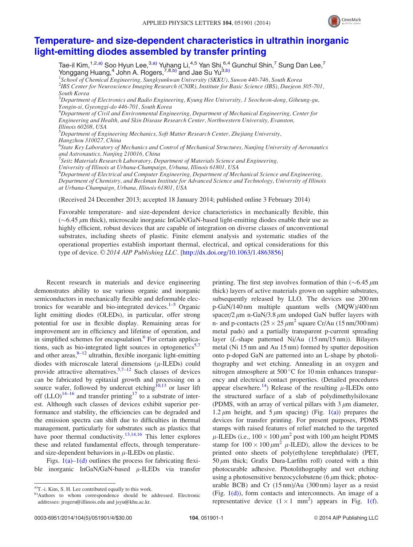

## [Temperature- and size-dependent characteristics in ultrathin inorganic](http://dx.doi.org/10.1063/1.4863856) [light-emitting diodes assembled by transfer printing](http://dx.doi.org/10.1063/1.4863856)

Tae-il Kim, $^{1,2, a)}$  Soo Hyun Lee, $^{3, a)}$  Yuhang Li, $^{4,5}$  Yan Shi, $^{6, 4}_{1, 1}$  Gunchul Shin, $^7$  Sung Dan Lee, $^7$ Yonggang Huang,<sup>4</sup> John A. Rogers,<sup>7,8,b)</sup> and Jae Su Yu<sup>3,b)</sup> <sup>1</sup>School of Chemical Engineering, Sungkyunkwan University (SKKU), Suwon 440-746, South Korea 2 IBS Center for Neuroscience Imaging Research (CNIR), Institute for Basic Science (IBS), Daejeon 305-701, South Korea  $^3$ Department of Electronics and Radio Engineering, Kyung Hee University, 1 Seocheon-dong, Giheung-gu, Yongin-si, Gyeonggi-do 446-701, South Korea 4 Department of Civil and Environmental Engineering, Department of Mechanical Engineering, Center for Engineering and Health, and Skin Disease Research Center, Northwestern University, Evanston, Illinois 60208, USA <sup>5</sup>Department of Engineering Mechanics, Soft Matter Research Center, Zhejiang University,

Hangzhou 310027, China

<sup>6</sup>State Key Laboratory of Mechanics and Control of Mechanical Structures, Nanjing University of Aeronautics and Astronautics, Nanjing 210016, China

 $^7$ Seitz Materials Research Laboratory, Department of Materials Science and Engineering, University of Illinois at Urbana-Champaign, Urbana, Illinois 61801, USA

 ${}^{8}$ Department of Electrical and Computer Engineering, Department of Mechanical Science and Engineering, Department of Chemistry, and Beckman Institute for Advanced Science and Technology, University of Illinois at Urbana-Champaign, Urbana, Illinois 61801, USA

(Received 24 December 2013; accepted 18 January 2014; published online 3 February 2014)

Favorable temperature- and size-dependent device characteristics in mechanically flexible, thin  $(\sim 6.45 \,\mu\text{m}$  thick), microscale inorganic InGaN/GaN-based light-emitting diodes enable their use as highly efficient, robust devices that are capable of integration on diverse classes of unconventional substrates, including sheets of plastic. Finite element analysis and systematic studies of the operational properties establish important thermal, electrical, and optical considerations for this type of device.  $\odot$  2014 AIP Publishing LLC. [[http://dx.doi.org/10.1063/1.4863856\]](http://dx.doi.org/10.1063/1.4863856)

Recent research in materials and device engineering demonstrates ability to use various organic and inorganic semiconductors in mechanically flexible and deformable electronics for wearable and bio-integrated devices. $1-5$  $1-5$  $1-5$  Organic light emitting diodes (OLEDs), in particular, offer strong potential for use in flexible display. Remaining areas for improvement are in efficiency and lifetime of operation, and in simplified schemes for encapsulation.<sup>[6](#page-3-0)</sup> For certain applica-tions, such as bio-integrated light sources in optogenetics<sup>[5,7](#page-3-0)</sup> and other areas, $8-12$  ultrathin, flexible inorganic light-emitting diodes with microscale lateral dimensions  $(\mu$ -ILEDs) could provide attractive alternatives.<sup>5,7–12</sup> Such classes of devices can be fabricated by epitaxial growth and processing on a source wafer, followed by undercut etching $^{10,13}$  or laser lift off  $(LLO)^{14-16}$  and transfer printing<sup>[17](#page-3-0)</sup> to a substrate of interest. Although such classes of devices exhibit superior performance and stability, the efficiencies can be degraded and the emission spectra can shift due to difficulties in thermal management, particularly for substrates such as plastics that have poor thermal conductivity.<sup>13,14,16</sup> This letter explores these and related fundamental effects, through temperatureand size-dependent behaviors in  $\mu$ -ILEDs on plastic.

Figs.  $1(a)$ – $1(d)$  outlines the process for fabricating flexible inorganic InGaN/GaN-based  $\mu$ -ILEDs via transfer

printing. The first step involves formation of thin  $(\sim 6.45 \,\mu m)$ thick) layers of active materials grown on sapphire substrates, subsequently released by LLO. The devices use 200 nm p-GaN/140 nm multiple quantum wells (MQW)/400 nm spacer/2  $\mu$ m n-GaN/3.8  $\mu$ m undoped GaN buffer layers with n- and p-contacts ( $25 \times 25 \mu m^2$  square Cr/Au (15 nm/300 nm) metal pads) and a partially transparent p-current spreading layer (L-shape patterned Ni/Au (15 nm/15 nm)). Bilayers metal (Ni 15 nm and Au 15 nm) formed by sputter deposition onto p-doped GaN are patterned into an L-shape by photolithography and wet etching. Annealing in an oxygen and nitrogen atmosphere at  $500^{\circ}$ C for 10 min enhances transparency and electrical contact properties. (Detailed procedures appear elsewhere.<sup>14</sup>) Release of the resulting  $\mu$ -ILEDs onto the structured surface of a slab of polydimethylsiloxane (PDMS, with an array of vertical pillars with  $3 \mu m$  diameter, 1.2  $\mu$ m height, and 5  $\mu$ m spacing) (Fig. [1\(a\)](#page-1-0)) prepares the devices for transfer printing. For present purposes, PDMS stamps with raised features of relief matched to the targeted  $\mu$ -ILEDs (i.e., 100 × 100  $\mu$ m<sup>2</sup> post with 100  $\mu$ m height PDMS stamp for  $100 \times 100 \mu m^2$   $\mu$ -ILED), allow the devices to be printed onto sheets of poly(ethylene terephthalate) (PET,  $50 \mu m$  thick; Grafix Dura-Larfilm roll) coated with a thin photocurable adhesive. Photolithography and wet etching using a photosensitive benzocyclobutene (6  $\mu$ m thick; photocurable BCB) and Cr (15 nm)/Au (300 nm) layer as a resist (Fig.  $1(d)$ ), form contacts and interconnects. An image of a representative device  $(1 \times 1 \text{ mm}^2)$  appears in Fig. [1\(f\)](#page-1-0).

a)T.-i. Kim, S. H. Lee contributed equally to this work.

b)Authors to whom correspondence should be addressed. Electronic addresses: [jrogers@illinois.edu](mailto:jrogers@illinois.edu) and [jsyu@khu.ac.kr](mailto:jsyu@khu.ac.kr).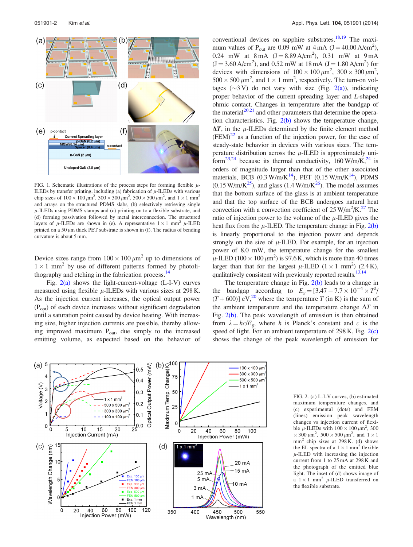<span id="page-1-0"></span>

FIG. 1. Schematic illustrations of the process steps for forming flexible  $\mu$ -ILEDs by transfer printing, including (a) fabrication of  $\mu$ -ILEDs with various chip sizes of  $100 \times 100 \mu m^2$ ,  $300 \times 300 \mu m^2$ ,  $500 \times 500 \mu m^2$ , and  $1 \times 1 \text{ mm}^2$ and arrays on the structured PDMS slabs, (b) selectively retrieving single  $\mu$ -ILEDs using PDMS stamps and (c) printing on to a flexible substrate, and (d) forming passivation followed by metal interconnection. The structured layers of  $\mu$ -ILEDs are shown in (e). A representative  $1 \times 1$  mm<sup>2</sup>  $\mu$ -ILED printed on a 50  $\mu$ m thick PET substrate is shown in (f). The radius of bending curvature is about 5 mm.

Device sizes range from  $100 \times 100 \mu m^2$  up to dimensions of  $1 \times 1$  mm<sup>2</sup> by use of different patterns formed by photoli-thography and etching in the fabrication process.<sup>[14](#page-3-0)</sup>

Fig. 2(a) shows the light-current-voltage (L-I-V) curves measured using flexible  $\mu$ -ILEDs with various sizes at 298 K. As the injection current increases, the optical output power  $(P_{\text{opt}})$  of each device increases without significant degradation until a saturation point caused by device heating. With increasing size, higher injection currents are possible, thereby allowing improved maximum  $P_{out}$ , due simply to the increased emitting volume, as expected based on the behavior of conventional devices on sapphire substrates.<sup>18,[19](#page-3-0)</sup> The maximum values of  $P_{out}$  are 0.09 mW at  $4 \text{ mA}$  (J = 40.00 A/cm<sup>2</sup>), 0.24 mW at  $8 \text{ mA}$  (J = 8.89 A/cm<sup>2</sup>), 0.31 mW at 9 mA  $(J = 3.60 \text{ A/cm}^2)$ , and 0.52 mW at 18 mA  $(J = 1.80 \text{ A/cm}^2)$  for devices with dimensions of  $100 \times 100 \mu m^2$ ,  $300 \times 300 \mu m^2$ ,  $500 \times 500 \,\mu\text{m}^2$ , and  $1 \times 1 \text{ mm}^2$ , respectively. The turn-on voltages  $(\sim 3 \text{ V})$  do not vary with size (Fig. 2(a)), indicating proper behavior of the current spreading layer and L-shaped ohmic contact. Changes in temperature alter the bandgap of the material $20,21$  and other parameters that determine the operation characteristics. Fig.  $2(b)$  shows the temperature change,  $\Delta T$ , in the  $\mu$ -ILEDs determined by the finite element method  $(FEM)^{22}$  as a function of the injection power, for the case of steady-state behavior in devices with various sizes. The temperature distribution across the  $\mu$ -ILED is approximately uni-form<sup>23,[24](#page-3-0)</sup> because its thermal conductivity,  $160 \text{ W/m/K}^{24}$  is orders of magnitude larger than that of the other associated materials, BCB  $(0.3 \text{ W/m/K}^{14})$ , PET  $(0.15 \text{ W/m/K}^{14})$ , PDMS  $(0.15 \text{ W/m/K}^{25})$ , and glass  $(1.4 \text{ W/m/K}^{26})$ . The model assumes that the bottom surface of the glass is at ambient temperature and that the top surface of the BCB undergoes natural heat convection with a convection coefficient of  $25 \text{ W/m}^2/\text{K}$ .<sup>27</sup> The ratio of injection power to the volume of the  $\mu$ -ILED gives the heat flux from the  $\mu$ -ILED. The temperature change in Fig. 2(b) is linearly proportional to the injection power and depends strongly on the size of  $\mu$ -ILED. For example, for an injection power of 8.0 mW, the temperature change for the smallest  $\mu$ -ILED (100  $\times$  100  $\mu$ m<sup>2</sup>) is 97.6 K, which is more than 40 times larger than that for the largest  $\mu$ -ILED (1 × 1 mm<sup>2</sup>) (2.4 K), qualitatively consistent with previously reported results.<sup>13,[14](#page-3-0)</sup>

The temperature change in Fig. 2(b) leads to a change in the bandgap according to  $E_g = [3.47 - 7.7 \times 10^{-4} \times T^2]$  $(T + 600)$ ] eV,<sup>[20](#page-3-0)</sup> where the temperature T (in K) is the sum of the ambient temperature and the temperature change  $\Delta T$  in Fig. 2(b). The peak wavelength of emission is then obtained from  $\lambda = hc/E_g$ , where h is Planck's constant and c is the speed of light. For an ambient temperature of  $298$  K, Fig.  $2(c)$ shows the change of the peak wavelength of emission for



FIG. 2. (a) L-I-V curves, (b) estimated maximum temperature changes, and (c) experimental (dots) and FEM (lines) emission peak wavelength changes vs injection current of flexible  $\mu$ -ILEDs with  $100 \times 100 \mu m^2$ , 300  $\times$  300  $\mu$ m<sup>2</sup>, 500  $\times$  500  $\mu$ m<sup>2</sup>, and 1  $\times$  1  $mm<sup>2</sup>$  chip sizes at 298 K. (d) shows the EL spectra of a  $1 \times 1$  mm<sup>2</sup> flexible  $\mu$ -ILED with increasing the injection current from 1 to 25 mA at 298 K and the photograph of the emitted blue light. The inset of (d) shows image of a  $1 \times 1$  mm<sup>2</sup>  $\mu$ -ILED transferred on the flexible substrate.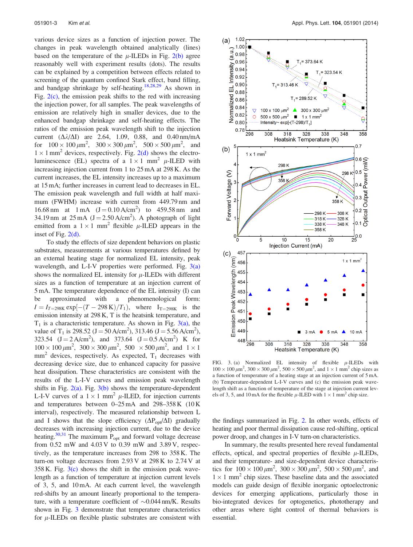various device sizes as a function of injection power. The changes in peak wavelength obtained analytically (lines) based on the temperature of the  $\mu$ -ILEDs in Fig. [2\(b\)](#page-1-0) agree reasonably well with experiment results (dots). The results can be explained by a competition between effects related to screening of the quantum confined Stark effect, band filling, and bandgap shrinkage by self-heating.<sup>[18,28](#page-3-0),[29](#page-3-0)</sup> As shown in Fig.  $2(c)$ , the emission peak shifts to the red with increasing the injection power, for all samples. The peak wavelengths of emission are relatively high in smaller devices, due to the enhanced bandgap shrinkage and self-heating effects. The ratios of the emission peak wavelength shift to the injection current  $(\Delta \lambda / \Delta I)$  are 2.64, 1.09, 0.88, and 0.40 nm/mA for  $100 \times 100 \mu m^2$ ,  $300 \times 300 \mu m^2$ ,  $500 \times 500 \mu m^2$ , and  $1 \times 1$  mm<sup>2</sup> devices, respectively. Fig. [2\(d\)](#page-1-0) shows the electroluminescence (EL) spectra of a  $1 \times 1$  mm<sup>2</sup>  $\mu$ -ILED with increasing injection current from 1 to 25 mA at 298 K. As the current increases, the EL intensity increases up to a maximum at 15 mA; further increases in current lead to decreases in EL. The emission peak wavelength and full width at half maximum (FWHM) increase with current from 449.79 nm and 16.68 nm at  $1 \text{ mA}$   $(J = 0.10 \text{ A/cm}^2)$  to  $459.58 \text{ nm}$  and 34.19 nm at  $25 \text{ mA}$  (J = 2.50 A/cm<sup>2</sup>). A photograph of light emitted from a  $1 \times 1$  mm<sup>2</sup> flexible  $\mu$ -ILED appears in the inset of Fig. [2\(d\)](#page-1-0).

To study the effects of size dependent behaviors on plastic substrates, measurements at various temperatures defined by an external heating stage for normalized EL intensity, peak wavelength, and L-I-V properties were performed. Fig.  $3(a)$ shows the normalized EL intensity for  $\mu$ -ILEDs with different sizes as a function of temperature at an injection current of 5 mA. The temperature dependence of the EL intensity (I) can be approximated with a phenomenological form:  $I = I_{T=298\text{K}} \exp[-(T-298 \text{ K})/T_1)$ , where  $I_{T=298\text{K}}$  is the emission intensity at 298 K, T is the heatsink temperature, and  $T_1$  is a characteristic temperature. As shown in Fig. 3(a), the value of T<sub>1</sub> is 298.52 (J = 50 A/cm<sup>2</sup>), 313.46 (J = 5.56 A/cm<sup>2</sup>), 323.54  $(J = 2 A/cm^2)$ , and 373.64  $(J = 0.5 A/cm^2)$  K for  $100 \times 100 \,\mu\text{m}^2$ ,  $300 \times 300 \,\mu\text{m}^2$ ,  $500 \times 500 \,\mu\text{m}^2$ , and  $1 \times 1$  $mm<sup>2</sup>$  devices, respectively. As expected,  $T<sub>1</sub>$  decreases with decreasing device size, due to enhanced capacity for passive heat dissipation. These characteristics are consistent with the results of the L-I-V curves and emission peak wavelength shifts in Fig.  $2(a)$ . Fig.  $3(b)$  shows the temperature-dependent L-I-V curves of a  $1 \times 1$  mm<sup>2</sup>  $\mu$ -ILED, for injection currents and temperatures between 0–25 mA and 298–358 K (10 K interval), respectively. The measured relationship between L and I shows that the slope efficiency  $(\Delta P_{opt}/\Delta I)$  gradually decreases with increasing injection current, due to the device heating.<sup>30,[31](#page-3-0)</sup> The maximum  $P_{opt}$  and forward voltage decrease from 0.52 mW and 4.03 V to 0.39 mW and 3.89 V, respectively, as the temperature increases from 298 to 358 K. The turn-on voltage decreases from 2.93 V at 298 K to 2.74 V at  $358$  K. Fig.  $3(c)$  shows the shift in the emission peak wavelength as a function of temperature at injection current levels of 3, 5, and 10 mA. At each current level, the wavelength red-shifts by an amount linearly proportional to the temperature, with a temperature coefficient of  $\sim 0.044$  nm/K. Results shown in Fig. 3 demonstrate that temperature characteristics for  $\mu$ -ILEDs on flexible plastic substrates are consistent with



FIG. 3. (a) Normalized EL intensity of flexible  $\mu$ -ILEDs with  $100 \times 100 \ \mu \text{m}^2$ ,  $300 \times 300 \ \mu \text{m}^2$ ,  $500 \times 500 \ \mu \text{m}^2$ , and  $1 \times 1 \text{ mm}^2$  chip sizes as a function of temperature of a heating stage at an injection current of 5 mA. (b) Temperature-dependent L-I-V curves and (c) the emission peak wavelength shift as a function of temperature of the stage at injection current levels of 3, 5, and 10 mA for the flexible  $\mu$ -ILED with  $1 \times 1$  mm<sup>2</sup> chip size.

the findings summarized in Fig. [2](#page-1-0). In other words, effects of heating and poor thermal dissipation cause red-shifting, optical power droop, and changes in I-V turn-on characteristics.

In summary, the results presented here reveal fundamental effects, optical, and spectral properties of flexible  $\mu$ -ILEDs, and their temperature- and size-dependent device characteristics for  $100 \times 100 \mu m^2$ ,  $300 \times 300 \mu m^2$ ,  $500 \times 500 \mu m^2$ , and  $1 \times 1$  mm<sup>2</sup> chip sizes. These baseline data and the associated models can guide design of flexible inorganic optoelectronic devices for emerging applications, particularly those in bio-integrated devices for optogenetics, phototherapy and other areas where tight control of thermal behaviors is essential.